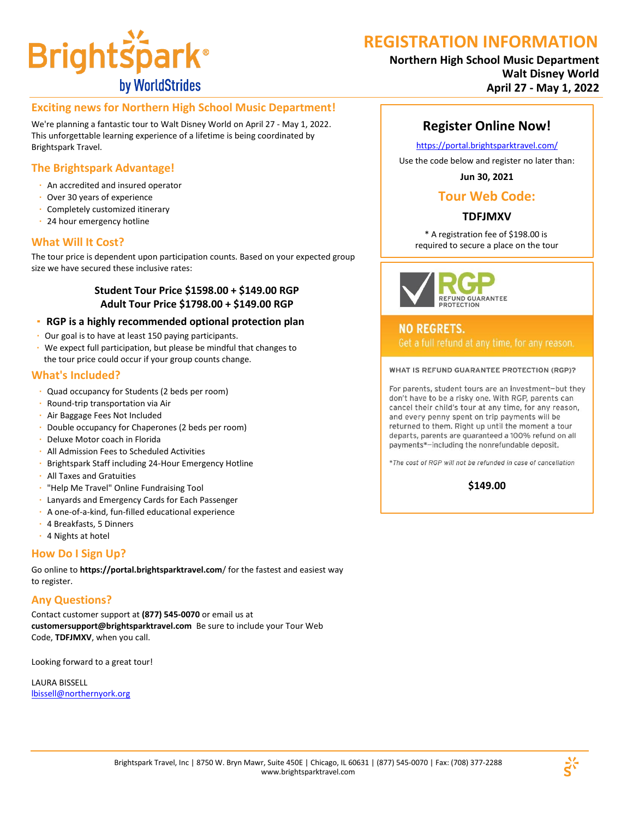

# **REGISTRATION INFORMATION**

### **Northern High School Music Department Walt Disney World April 27 - May 1, 2022**

### **Exciting news for Northern High School Music Department!**

We're planning a fantastic tour to Walt Disney World on April 27 - May 1, 2022. This unforgettable learning experience of a lifetime is being coordinated by Brightspark Travel.

### **The Brightspark Advantage!**

- · An accredited and insured operator
- · Over 30 years of experience
- · Completely customized itinerary
- · 24 hour emergency hotline

### **What Will It Cost?**

The tour price is dependent upon participation counts. Based on your expected group size we have secured these inclusive rates:

#### **Student Tour Price \$1598.00 + \$149.00 RGP Adult Tour Price \$1798.00 + \$149.00 RGP**

- **· RGP is a highly recommended optional protection plan**
- · Our goal is to have at least 150 paying participants.
- · We expect full participation, but please be mindful that changes to the tour price could occur if your group counts change.

#### **What's Included?**

- · Quad occupancy for Students (2 beds per room)
- · Round-trip transportation via Air
- · Air Baggage Fees Not Included
- · Double occupancy for Chaperones (2 beds per room)
- · Deluxe Motor coach in Florida
- · All Admission Fees to Scheduled Activities
- · Brightspark Staff including 24-Hour Emergency Hotline
- · All Taxes and Gratuities
- · "Help Me Travel" Online Fundraising Tool
- · Lanyards and Emergency Cards for Each Passenger
- · A one-of-a-kind, fun-filled educational experience
- · 4 Breakfasts, 5 Dinners
- · 4 Nights at hotel

### **How Do I Sign Up?**

Go online to **https://portal.brightsparktravel.com**/ for the fastest and easiest way to register.

### **Any Questions?**

Contact customer support at **(877) 545-0070** or email us a[t](mailto:%20customersupport@brightsparktravel.com%20%20Be%20sure%20to%20include%20your%20Tour%20Web%20Code,%20TDFJMXV,%20when%20you%20call.) **[customersupport@brightsparktravel.com](mailto:%20customersupport@brightsparktravel.com%20%20Be%20sure%20to%20include%20your%20Tour%20Web%20Code,%20TDFJMXV,%20when%20you%20call.)** Be sure to include your Tour Web Code, **TDFJMXV**[, when you call.](mailto:%20customersupport@brightsparktravel.com%20%20Be%20sure%20to%20include%20your%20Tour%20Web%20Code,%20TDFJMXV,%20when%20you%20call.)

Looking forward to a great tour!

LAURA BISSELL [lbissell@northernyork.org](mailto:lbissell@northernyork.org)

### **Register Online Now!**

https://portal.brightsparktravel.com/

Use the code below and register no later than:

**Jun 30, 2021**

### **Tour Web Code:**

### **TDFJMXV**

\* A registration fee of \$198.00 is required to secure a place on the tour



**NO REGRETS.** 

WHAT IS REFUND GUARANTEE PROTECTION (RGP)?

For parents, student tours are an investment-but they don't have to be a risky one. With RGP, parents can cancel their child's tour at any time, for any reason, and every penny spent on trip payments will be returned to them. Right up until the moment a tour departs, parents are guaranteed a 100% refund on all payments\*-including the nonrefundable deposit.

\*The cost of RGP will not be refunded in case of cancellation

**\$149.00**